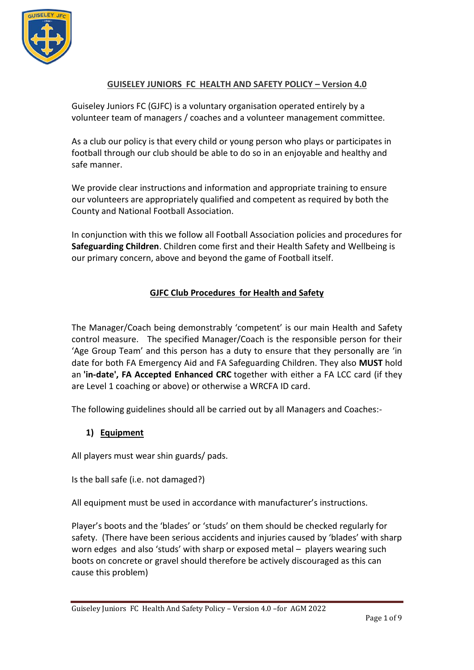

## **GUISELEY JUNIORS FC HEALTH AND SAFETY POLICY – Version 4.0**

Guiseley Juniors FC (GJFC) is a voluntary organisation operated entirely by a volunteer team of managers / coaches and a volunteer management committee.

As a club our policy is that every child or young person who plays or participates in football through our club should be able to do so in an enjoyable and healthy and safe manner.

We provide clear instructions and information and appropriate training to ensure our volunteers are appropriately qualified and competent as required by both the County and National Football Association.

In conjunction with this we follow all Football Association policies and procedures for **Safeguarding Children**. Children come first and their Health Safety and Wellbeing is our primary concern, above and beyond the game of Football itself.

## **GJFC Club Procedures for Health and Safety**

The Manager/Coach being demonstrably 'competent' is our main Health and Safety control measure. The specified Manager/Coach is the responsible person for their 'Age Group Team' and this person has a duty to ensure that they personally are 'in date for both FA Emergency Aid and FA Safeguarding Children. They also **MUST** hold an **'in-date', FA Accepted Enhanced CRC** together with either a FA LCC card (if they are Level 1 coaching or above) or otherwise a WRCFA ID card.

The following guidelines should all be carried out by all Managers and Coaches:-

#### **1) Equipment**

All players must wear shin guards/ pads.

Is the ball safe (i.e. not damaged?)

All equipment must be used in accordance with manufacturer's instructions.

Player's boots and the 'blades' or 'studs' on them should be checked regularly for safety. (There have been serious accidents and injuries caused by 'blades' with sharp worn edges and also 'studs' with sharp or exposed metal – players wearing such boots on concrete or gravel should therefore be actively discouraged as this can cause this problem)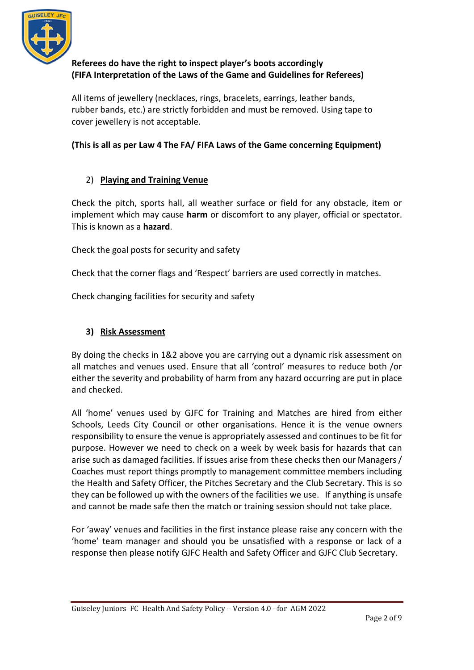

# **Referees do have the right to inspect player's boots accordingly (FIFA Interpretation of the Laws of the Game and Guidelines for Referees)**

All items of jewellery (necklaces, rings, bracelets, earrings, leather bands, rubber bands, etc.) are strictly forbidden and must be removed. Using tape to cover jewellery is not acceptable.

## **(This is all as per Law 4 The FA/ FIFA Laws of the Game concerning Equipment)**

## 2) **Playing and Training Venue**

Check the pitch, sports hall, all weather surface or field for any obstacle, item or implement which may cause **harm** or discomfort to any player, official or spectator. This is known as a **hazard**.

Check the goal posts for security and safety

Check that the corner flags and 'Respect' barriers are used correctly in matches.

Check changing facilities for security and safety

## **3) Risk Assessment**

By doing the checks in 1&2 above you are carrying out a dynamic risk assessment on all matches and venues used. Ensure that all 'control' measures to reduce both /or either the severity and probability of harm from any hazard occurring are put in place and checked.

All 'home' venues used by GJFC for Training and Matches are hired from either Schools, Leeds City Council or other organisations. Hence it is the venue owners responsibility to ensure the venue is appropriately assessed and continues to be fit for purpose. However we need to check on a week by week basis for hazards that can arise such as damaged facilities. If issues arise from these checks then our Managers / Coaches must report things promptly to management committee members including the Health and Safety Officer, the Pitches Secretary and the Club Secretary. This is so they can be followed up with the owners of the facilities we use. If anything is unsafe and cannot be made safe then the match or training session should not take place.

For 'away' venues and facilities in the first instance please raise any concern with the 'home' team manager and should you be unsatisfied with a response or lack of a response then please notify GJFC Health and Safety Officer and GJFC Club Secretary.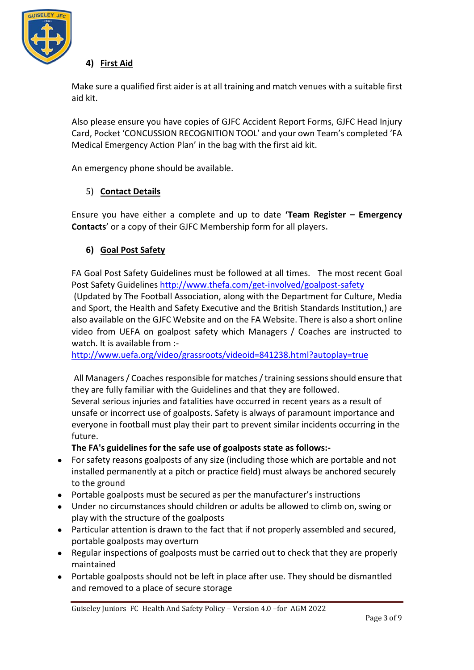

## **4) First Aid**

Make sure a qualified first aider is at all training and match venues with a suitable first aid kit.

Also please ensure you have copies of GJFC Accident Report Forms, GJFC Head Injury Card, Pocket 'CONCUSSION RECOGNITION TOOL' and your own Team's completed 'FA Medical Emergency Action Plan' in the bag with the first aid kit.

An emergency phone should be available.

#### 5) **Contact Details**

Ensure you have either a complete and up to date **'[Team Register](http://www.guiseleyjuniors.co.uk/wp-content/uploads/2012/02/Team-Register-H-S-Info-Emergency-Contacts.pdf) – Emergency [Contacts](http://www.guiseleyjuniors.co.uk/wp-content/uploads/2012/02/Team-Register-H-S-Info-Emergency-Contacts.pdf)**' or a copy of their GJFC Membership form for all players**.** 

#### **6) Goal Post Safety**

FA Goal Post Safety Guidelines must be followed at all times. The most recent Goal Post Safety Guidelines <http://www.thefa.com/get-involved/goalpost-safety>

(Updated by The Football Association, along with the Department for Culture, Media and Sport, the Health and Safety Executive and the British Standards Institution,) are also available on the GJFC Website and on the FA Website. There is also a short online video from UEFA on goalpost safety which Managers / Coaches are instructed to watch. It is available from :-

<http://www.uefa.org/video/grassroots/videoid=841238.html?autoplay=true>

All Managers / Coaches responsible for matches / training sessions should ensure that they are fully familiar with the Guidelines and that they are followed. Several serious injuries and fatalities have occurred in recent years as a result of unsafe or incorrect use of goalposts. Safety is always of paramount importance and everyone in football must play their part to prevent similar incidents occurring in the future.

**The FA's guidelines for the safe use of goalposts state as follows:-**

- For safety reasons goalposts of any size (including those which are portable and not installed permanently at a pitch or practice field) must always be anchored securely to the ground
- Portable goalposts must be secured as per the manufacturer's instructions
- Under no circumstances should children or adults be allowed to climb on, swing or play with the structure of the goalposts
- Particular attention is drawn to the fact that if not properly assembled and secured, portable goalposts may overturn
- Regular inspections of goalposts must be carried out to check that they are properly maintained
- Portable goalposts should not be left in place after use. They should be dismantled and removed to a place of secure storage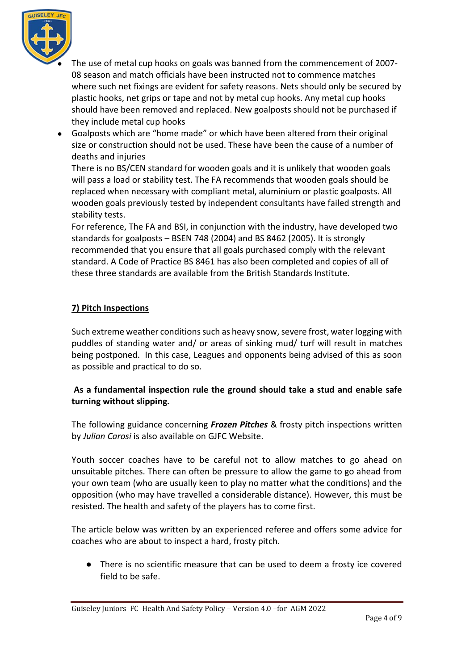

- The use of metal cup hooks on goals was banned from the commencement of 2007-08 season and match officials have been instructed not to commence matches where such net fixings are evident for safety reasons. Nets should only be secured by plastic hooks, net grips or tape and not by metal cup hooks. Any metal cup hooks should have been removed and replaced. New goalposts should not be purchased if they include metal cup hooks
- Goalposts which are "home made" or which have been altered from their original size or construction should not be used. These have been the cause of a number of deaths and injuries

There is no BS/CEN standard for wooden goals and it is unlikely that wooden goals will pass a load or stability test. The FA recommends that wooden goals should be replaced when necessary with compliant metal, aluminium or plastic goalposts. All wooden goals previously tested by independent consultants have failed strength and stability tests.

For reference, The FA and BSI, in conjunction with the industry, have developed two standards for goalposts – BSEN 748 (2004) and BS 8462 (2005). It is strongly recommended that you ensure that all goals purchased comply with the relevant standard. A Code of Practice BS 8461 has also been completed and copies of all of these three standards are available from the British Standards Institute.

## **7) Pitch Inspections**

Such extreme weather conditions such as heavy snow, severe frost, water logging with puddles of standing water and/ or areas of sinking mud/ turf will result in matches being postponed. In this case, Leagues and opponents being advised of this as soon as possible and practical to do so.

## **As a fundamental inspection rule the ground should take a stud and enable safe turning without slipping.**

The following guidance concerning *Frozen Pitches* & frosty pitch inspections written by *Julian Carosi* is also available on GJFC Website.

Youth soccer coaches have to be careful not to allow matches to go ahead on unsuitable pitches. There can often be pressure to allow the game to go ahead from your own team (who are usually keen to play no matter what the conditions) and the opposition (who may have travelled a considerable distance). However, this must be resisted. The health and safety of the players has to come first.

The article below was written by an experienced referee and offers some advice for coaches who are about to inspect a hard, frosty pitch.

● There is no scientific measure that can be used to deem a frosty ice covered field to be safe.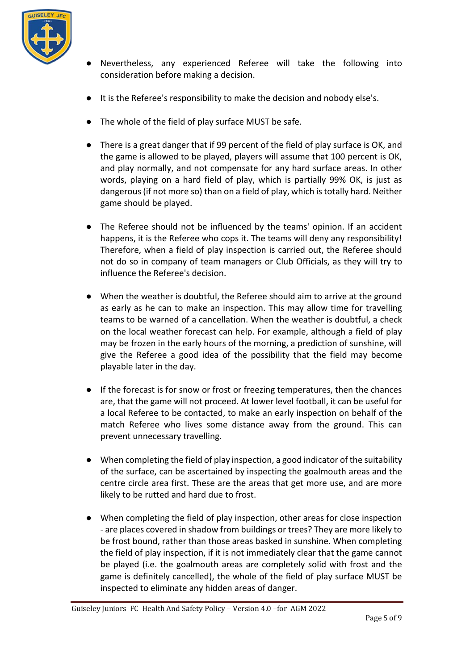

- Nevertheless, any experienced Referee will take the following into consideration before making a decision.
- It is the Referee's responsibility to make the decision and nobody else's.
- The whole of the field of play surface MUST be safe.
- There is a great danger that if 99 percent of the field of play surface is OK, and the game is allowed to be played, players will assume that 100 percent is OK, and play normally, and not compensate for any hard surface areas. In other words, playing on a hard field of play, which is partially 99% OK, is just as dangerous (if not more so) than on a field of play, which is totally hard. Neither game should be played.
- The Referee should not be influenced by the teams' opinion. If an accident happens, it is the Referee who cops it. The teams will deny any responsibility! Therefore, when a field of play inspection is carried out, the Referee should not do so in company of team managers or Club Officials, as they will try to influence the Referee's decision.
- When the weather is doubtful, the Referee should aim to arrive at the ground as early as he can to make an inspection. This may allow time for travelling teams to be warned of a cancellation. When the weather is doubtful, a check on the local weather forecast can help. For example, although a field of play may be frozen in the early hours of the morning, a prediction of sunshine, will give the Referee a good idea of the possibility that the field may become playable later in the day.
- If the forecast is for snow or frost or freezing temperatures, then the chances are, that the game will not proceed. At lower level football, it can be useful for a local Referee to be contacted, to make an early inspection on behalf of the match Referee who lives some distance away from the ground. This can prevent unnecessary travelling.
- When completing the field of play inspection, a good indicator of the suitability of the surface, can be ascertained by inspecting the goalmouth areas and the centre circle area first. These are the areas that get more use, and are more likely to be rutted and hard due to frost.
- When completing the field of play inspection, other areas for close inspection - are places covered in shadow from buildings or trees? They are more likely to be frost bound, rather than those areas basked in sunshine. When completing the field of play inspection, if it is not immediately clear that the game cannot be played (i.e. the goalmouth areas are completely solid with frost and the game is definitely cancelled), the whole of the field of play surface MUST be inspected to eliminate any hidden areas of danger.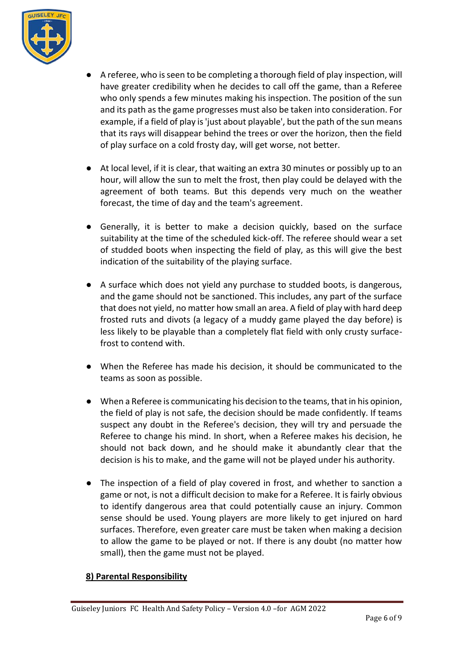

- A referee, who is seen to be completing a thorough field of play inspection, will have greater credibility when he decides to call off the game, than a Referee who only spends a few minutes making his inspection. The position of the sun and its path as the game progresses must also be taken into consideration. For example, if a field of play is 'just about playable', but the path of the sun means that its rays will disappear behind the trees or over the horizon, then the field of play surface on a cold frosty day, will get worse, not better.
- At local level, if it is clear, that waiting an extra 30 minutes or possibly up to an hour, will allow the sun to melt the frost, then play could be delayed with the agreement of both teams. But this depends very much on the weather forecast, the time of day and the team's agreement.
- Generally, it is better to make a decision quickly, based on the surface suitability at the time of the scheduled kick-off. The referee should wear a set of studded boots when inspecting the field of play, as this will give the best indication of the suitability of the playing surface.
- A surface which does not yield any purchase to studded boots, is dangerous, and the game should not be sanctioned. This includes, any part of the surface that does not yield, no matter how small an area. A field of play with hard deep frosted ruts and divots (a legacy of a muddy game played the day before) is less likely to be playable than a completely flat field with only crusty surfacefrost to contend with.
- When the Referee has made his decision, it should be communicated to the teams as soon as possible.
- When a Referee is communicating his decision to the teams, that in his opinion, the field of play is not safe, the decision should be made confidently. If teams suspect any doubt in the Referee's decision, they will try and persuade the Referee to change his mind. In short, when a Referee makes his decision, he should not back down, and he should make it abundantly clear that the decision is his to make, and the game will not be played under his authority.
- The inspection of a field of play covered in frost, and whether to sanction a game or not, is not a difficult decision to make for a Referee. It is fairly obvious to identify dangerous area that could potentially cause an injury. Common sense should be used. Young players are more likely to get injured on hard surfaces. Therefore, even greater care must be taken when making a decision to allow the game to be played or not. If there is any doubt (no matter how small), then the game must not be played.

#### **8) Parental Responsibility**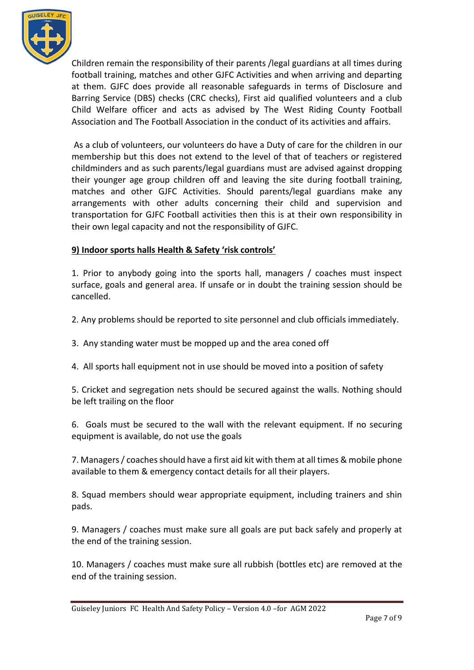

Children remain the responsibility of their parents /legal guardians at all times during football training, matches and other GJFC Activities and when arriving and departing at them. GJFC does provide all reasonable safeguards in terms of Disclosure and Barring Service (DBS) checks (CRC checks), First aid qualified volunteers and a club Child Welfare officer and acts as advised by The West Riding County Football Association and The Football Association in the conduct of its activities and affairs.

As a club of volunteers, our volunteers do have a Duty of care for the children in our membership but this does not extend to the level of that of teachers or registered childminders and as such parents/legal guardians must are advised against dropping their younger age group children off and leaving the site during football training, matches and other GJFC Activities. Should parents/legal guardians make any arrangements with other adults concerning their child and supervision and transportation for GJFC Football activities then this is at their own responsibility in their own legal capacity and not the responsibility of GJFC.

## **9) Indoor sports halls Health & Safety 'risk controls'**

1. Prior to anybody going into the sports hall, managers / coaches must inspect surface, goals and general area. If unsafe or in doubt the training session should be cancelled.

2. Any problems should be reported to site personnel and club officials immediately.

- 3. Any standing water must be mopped up and the area coned off
- 4. All sports hall equipment not in use should be moved into a position of safety

5. Cricket and segregation nets should be secured against the walls. Nothing should be left trailing on the floor

6. Goals must be secured to the wall with the relevant equipment. If no securing equipment is available, do not use the goals

7. Managers / coaches should have a first aid kit with them at all times & mobile phone available to them & emergency contact details for all their players.

8. Squad members should wear appropriate equipment, including trainers and shin pads.

9. Managers / coaches must make sure all goals are put back safely and properly at the end of the training session.

10. Managers / coaches must make sure all rubbish (bottles etc) are removed at the end of the training session.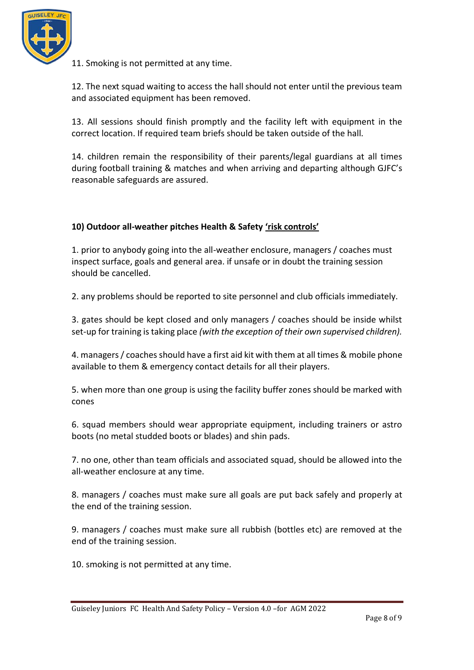

11. Smoking is not permitted at any time.

12. The next squad waiting to access the hall should not enter until the previous team and associated equipment has been removed.

13. All sessions should finish promptly and the facility left with equipment in the correct location. If required team briefs should be taken outside of the hall.

14. children remain the responsibility of their parents/legal guardians at all times during football training & matches and when arriving and departing although GJFC's reasonable safeguards are assured.

## **10) Outdoor all-weather pitches Health & Safety 'risk controls'**

1. prior to anybody going into the all-weather enclosure, managers / coaches must inspect surface, goals and general area. if unsafe or in doubt the training session should be cancelled.

2. any problems should be reported to site personnel and club officials immediately.

3. gates should be kept closed and only managers / coaches should be inside whilst set-up for training is taking place *(with the exception of their own supervised children).* 

4. managers / coaches should have a first aid kit with them at all times & mobile phone available to them & emergency contact details for all their players.

5. when more than one group is using the facility buffer zones should be marked with cones

6. squad members should wear appropriate equipment, including trainers or astro boots (no metal studded boots or blades) and shin pads.

7. no one, other than team officials and associated squad, should be allowed into the all-weather enclosure at any time.

8. managers / coaches must make sure all goals are put back safely and properly at the end of the training session.

9. managers / coaches must make sure all rubbish (bottles etc) are removed at the end of the training session.

10. smoking is not permitted at any time.